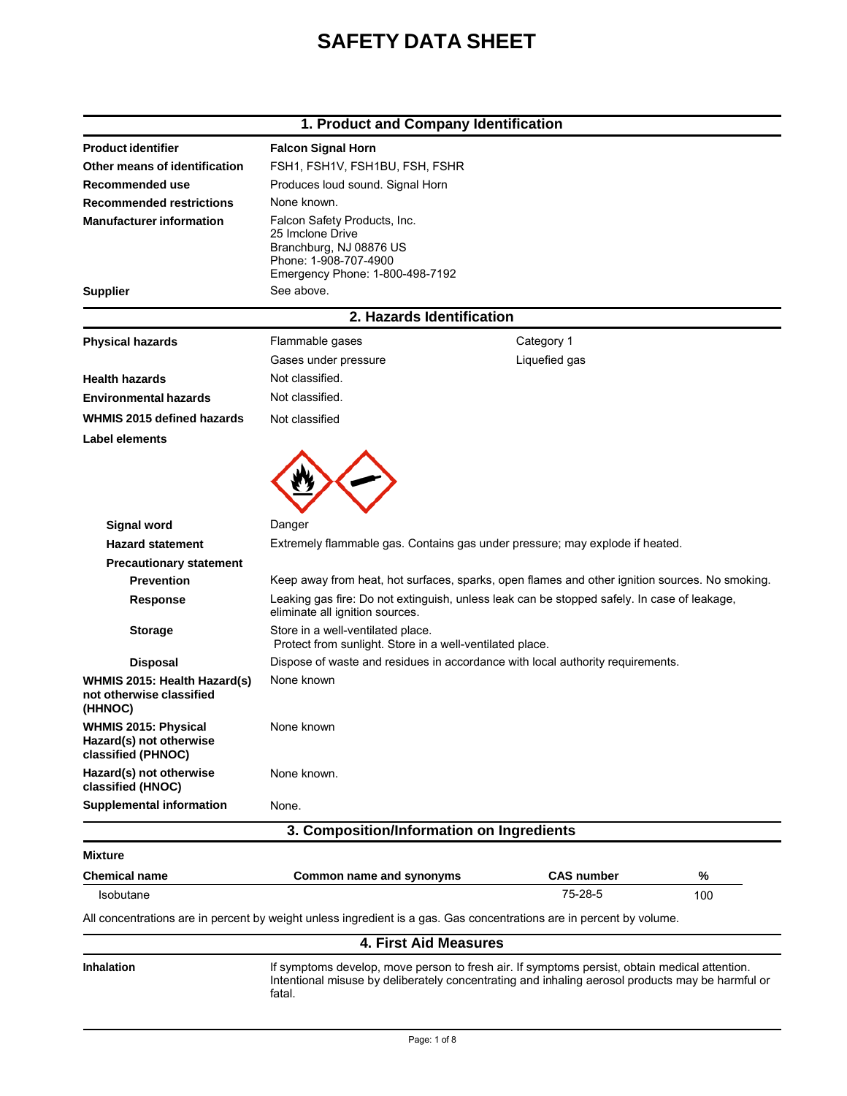# **SAFETY DATA SHEET**

## **1. Product and Company Identification**

| <b>Product identifier</b>                                                    | <b>Falcon Signal Horn</b>                                                                                                                                                                                   |                   |     |
|------------------------------------------------------------------------------|-------------------------------------------------------------------------------------------------------------------------------------------------------------------------------------------------------------|-------------------|-----|
| Other means of identification                                                | FSH1, FSH1V, FSH1BU, FSH, FSHR                                                                                                                                                                              |                   |     |
| Recommended use                                                              | Produces loud sound. Signal Horn                                                                                                                                                                            |                   |     |
| <b>Recommended restrictions</b>                                              | None known.                                                                                                                                                                                                 |                   |     |
| <b>Manufacturer information</b><br><b>Supplier</b>                           | Falcon Safety Products, Inc.<br>25 Imclone Drive<br>Branchburg, NJ 08876 US<br>Phone: 1-908-707-4900<br>Emergency Phone: 1-800-498-7192<br>See above.                                                       |                   |     |
|                                                                              | 2. Hazards Identification                                                                                                                                                                                   |                   |     |
| <b>Physical hazards</b>                                                      | Flammable gases                                                                                                                                                                                             | Category 1        |     |
|                                                                              | Gases under pressure                                                                                                                                                                                        | Liquefied gas     |     |
| <b>Health hazards</b>                                                        | Not classified.                                                                                                                                                                                             |                   |     |
| <b>Environmental hazards</b>                                                 | Not classified.                                                                                                                                                                                             |                   |     |
| WHMIS 2015 defined hazards                                                   | Not classified                                                                                                                                                                                              |                   |     |
| <b>Label elements</b>                                                        |                                                                                                                                                                                                             |                   |     |
|                                                                              |                                                                                                                                                                                                             |                   |     |
| <b>Signal word</b>                                                           | Danger                                                                                                                                                                                                      |                   |     |
| <b>Hazard statement</b>                                                      | Extremely flammable gas. Contains gas under pressure; may explode if heated.                                                                                                                                |                   |     |
| <b>Precautionary statement</b>                                               |                                                                                                                                                                                                             |                   |     |
| <b>Prevention</b>                                                            | Keep away from heat, hot surfaces, sparks, open flames and other ignition sources. No smoking.                                                                                                              |                   |     |
| <b>Response</b>                                                              | Leaking gas fire: Do not extinguish, unless leak can be stopped safely. In case of leakage,<br>eliminate all ignition sources.                                                                              |                   |     |
| <b>Storage</b>                                                               | Store in a well-ventilated place.<br>Protect from sunlight. Store in a well-ventilated place.                                                                                                               |                   |     |
| <b>Disposal</b>                                                              | Dispose of waste and residues in accordance with local authority requirements.                                                                                                                              |                   |     |
| WHMIS 2015: Health Hazard(s)<br>not otherwise classified<br>(HHNOC)          | None known                                                                                                                                                                                                  |                   |     |
| <b>WHMIS 2015: Physical</b><br>Hazard(s) not otherwise<br>classified (PHNOC) | None known                                                                                                                                                                                                  |                   |     |
| Hazard(s) not otherwise<br>classified (HNOC)                                 | None known.                                                                                                                                                                                                 |                   |     |
| <b>Supplemental information</b>                                              | None.                                                                                                                                                                                                       |                   |     |
|                                                                              | 3. Composition/Information on Ingredients                                                                                                                                                                   |                   |     |
| Mixture                                                                      |                                                                                                                                                                                                             |                   |     |
| <b>Chemical name</b>                                                         | Common name and synonyms                                                                                                                                                                                    | <b>CAS number</b> | %   |
| Isobutane                                                                    |                                                                                                                                                                                                             | 75-28-5           | 100 |
|                                                                              | All concentrations are in percent by weight unless ingredient is a gas. Gas concentrations are in percent by volume.                                                                                        |                   |     |
|                                                                              | <b>4. First Aid Measures</b>                                                                                                                                                                                |                   |     |
| Inhalation                                                                   | If symptoms develop, move person to fresh air. If symptoms persist, obtain medical attention.<br>Intentional misuse by deliberately concentrating and inhaling aerosol products may be harmful or<br>fatal. |                   |     |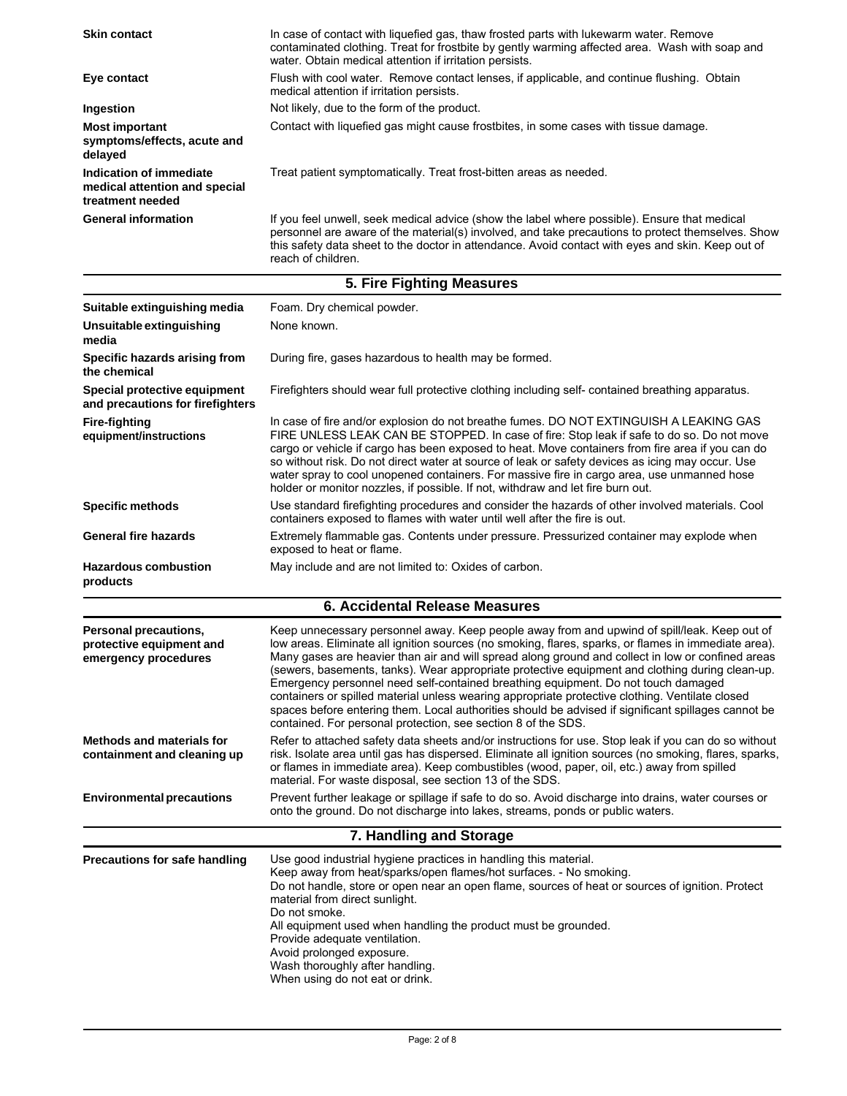| <b>Skin contact</b>                                                          | In case of contact with liquefied gas, thaw frosted parts with lukewarm water. Remove<br>contaminated clothing. Treat for frostbite by gently warming affected area. Wash with soap and<br>water. Obtain medical attention if irritation persists.                                                                                                                                                                                                                                                                                                                                                                                                                                                                                                                           |  |
|------------------------------------------------------------------------------|------------------------------------------------------------------------------------------------------------------------------------------------------------------------------------------------------------------------------------------------------------------------------------------------------------------------------------------------------------------------------------------------------------------------------------------------------------------------------------------------------------------------------------------------------------------------------------------------------------------------------------------------------------------------------------------------------------------------------------------------------------------------------|--|
| Eye contact                                                                  | Flush with cool water. Remove contact lenses, if applicable, and continue flushing. Obtain<br>medical attention if irritation persists.                                                                                                                                                                                                                                                                                                                                                                                                                                                                                                                                                                                                                                      |  |
| Ingestion                                                                    | Not likely, due to the form of the product.                                                                                                                                                                                                                                                                                                                                                                                                                                                                                                                                                                                                                                                                                                                                  |  |
| <b>Most important</b><br>symptoms/effects, acute and<br>delayed              | Contact with liquefied gas might cause frostbites, in some cases with tissue damage.                                                                                                                                                                                                                                                                                                                                                                                                                                                                                                                                                                                                                                                                                         |  |
| Indication of immediate<br>medical attention and special<br>treatment needed | Treat patient symptomatically. Treat frost-bitten areas as needed.                                                                                                                                                                                                                                                                                                                                                                                                                                                                                                                                                                                                                                                                                                           |  |
| <b>General information</b>                                                   | If you feel unwell, seek medical advice (show the label where possible). Ensure that medical<br>personnel are aware of the material(s) involved, and take precautions to protect themselves. Show<br>this safety data sheet to the doctor in attendance. Avoid contact with eyes and skin. Keep out of<br>reach of children.                                                                                                                                                                                                                                                                                                                                                                                                                                                 |  |
|                                                                              | 5. Fire Fighting Measures                                                                                                                                                                                                                                                                                                                                                                                                                                                                                                                                                                                                                                                                                                                                                    |  |
| Suitable extinguishing media                                                 | Foam. Dry chemical powder.                                                                                                                                                                                                                                                                                                                                                                                                                                                                                                                                                                                                                                                                                                                                                   |  |
| Unsuitable extinguishing<br>media                                            | None known.                                                                                                                                                                                                                                                                                                                                                                                                                                                                                                                                                                                                                                                                                                                                                                  |  |
| Specific hazards arising from<br>the chemical                                | During fire, gases hazardous to health may be formed.                                                                                                                                                                                                                                                                                                                                                                                                                                                                                                                                                                                                                                                                                                                        |  |
| Special protective equipment<br>and precautions for firefighters             | Firefighters should wear full protective clothing including self- contained breathing apparatus.                                                                                                                                                                                                                                                                                                                                                                                                                                                                                                                                                                                                                                                                             |  |
| <b>Fire-fighting</b><br>equipment/instructions                               | In case of fire and/or explosion do not breathe fumes. DO NOT EXTINGUISH A LEAKING GAS<br>FIRE UNLESS LEAK CAN BE STOPPED. In case of fire: Stop leak if safe to do so. Do not move<br>cargo or vehicle if cargo has been exposed to heat. Move containers from fire area if you can do<br>so without risk. Do not direct water at source of leak or safety devices as icing may occur. Use<br>water spray to cool unopened containers. For massive fire in cargo area, use unmanned hose<br>holder or monitor nozzles, if possible. If not, withdraw and let fire burn out.                                                                                                                                                                                                 |  |
| <b>Specific methods</b>                                                      | Use standard firefighting procedures and consider the hazards of other involved materials. Cool<br>containers exposed to flames with water until well after the fire is out.                                                                                                                                                                                                                                                                                                                                                                                                                                                                                                                                                                                                 |  |
| <b>General fire hazards</b>                                                  | Extremely flammable gas. Contents under pressure. Pressurized container may explode when<br>exposed to heat or flame.                                                                                                                                                                                                                                                                                                                                                                                                                                                                                                                                                                                                                                                        |  |
| <b>Hazardous combustion</b><br>products                                      | May include and are not limited to: Oxides of carbon.                                                                                                                                                                                                                                                                                                                                                                                                                                                                                                                                                                                                                                                                                                                        |  |
|                                                                              | <b>6. Accidental Release Measures</b>                                                                                                                                                                                                                                                                                                                                                                                                                                                                                                                                                                                                                                                                                                                                        |  |
| Personal precautions,<br>protective equipment and<br>emergency procedures    | Keep unnecessary personnel away. Keep people away from and upwind of spill/leak. Keep out of<br>low areas. Eliminate all ignition sources (no smoking, flares, sparks, or flames in immediate area).<br>Many gases are heavier than air and will spread along ground and collect in low or confined areas<br>(sewers, basements, tanks). Wear appropriate protective equipment and clothing during clean-up.<br>Emergency personnel need self-contained breathing equipment. Do not touch damaged<br>containers or spilled material unless wearing appropriate protective clothing. Ventilate closed<br>spaces before entering them. Local authorities should be advised if significant spillages cannot be<br>contained. For personal protection, see section 8 of the SDS. |  |
| Methods and materials for<br>containment and cleaning up                     | Refer to attached safety data sheets and/or instructions for use. Stop leak if you can do so without<br>risk. Isolate area until gas has dispersed. Eliminate all ignition sources (no smoking, flares, sparks,<br>or flames in immediate area). Keep combustibles (wood, paper, oil, etc.) away from spilled<br>material. For waste disposal, see section 13 of the SDS.                                                                                                                                                                                                                                                                                                                                                                                                    |  |
| <b>Environmental precautions</b>                                             | Prevent further leakage or spillage if safe to do so. Avoid discharge into drains, water courses or<br>onto the ground. Do not discharge into lakes, streams, ponds or public waters.                                                                                                                                                                                                                                                                                                                                                                                                                                                                                                                                                                                        |  |
|                                                                              | 7. Handling and Storage                                                                                                                                                                                                                                                                                                                                                                                                                                                                                                                                                                                                                                                                                                                                                      |  |
| <b>Precautions for safe handling</b>                                         | Use good industrial hygiene practices in handling this material.<br>Keep away from heat/sparks/open flames/hot surfaces. - No smoking.<br>Do not handle, store or open near an open flame, sources of heat or sources of ignition. Protect<br>material from direct sunlight.<br>Do not smoke.<br>All equipment used when handling the product must be grounded.<br>Provide adequate ventilation.<br>Avoid prolonged exposure.<br>Wash thoroughly after handling.<br>When using do not eat or drink.                                                                                                                                                                                                                                                                          |  |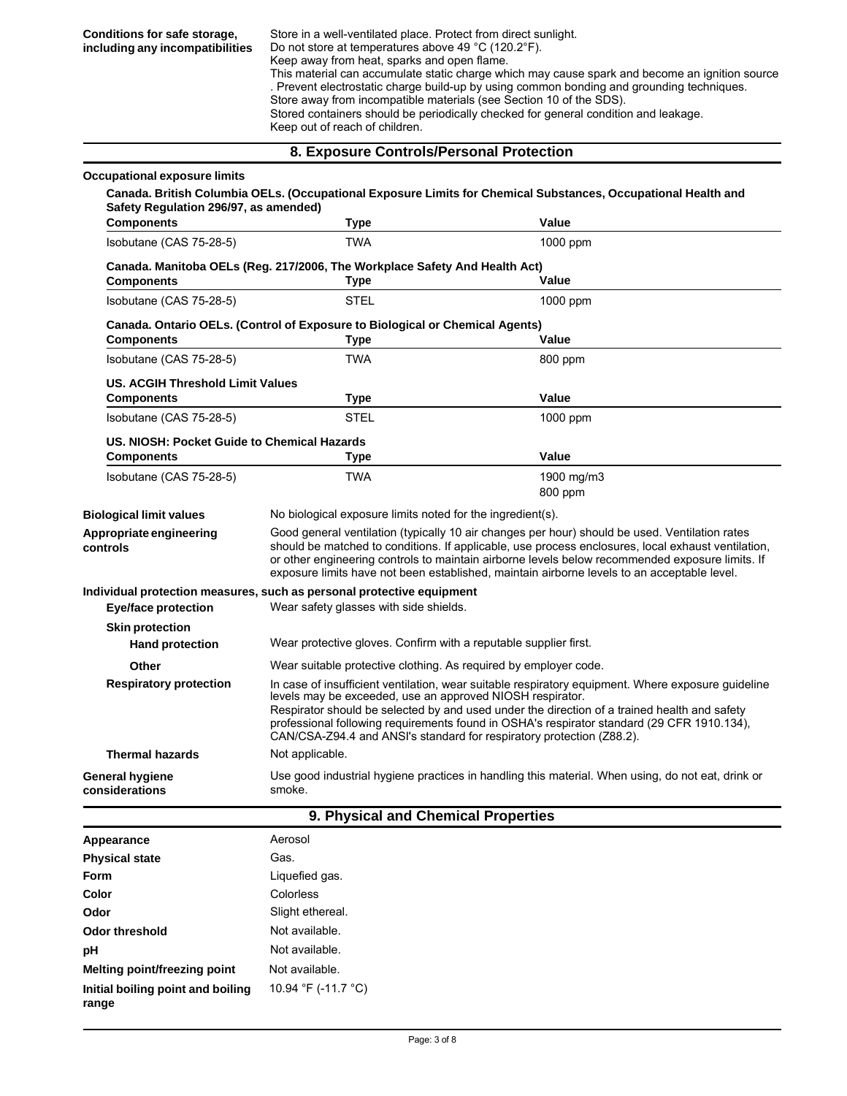### **8. Exposure Controls/Personal Protection**

| Occupational exposure limits                                     |                                                                                                                                                                                                                                                                                                                                                                                                                                        | Canada. British Columbia OELs. (Occupational Exposure Limits for Chemical Substances, Occupational Health and |  |
|------------------------------------------------------------------|----------------------------------------------------------------------------------------------------------------------------------------------------------------------------------------------------------------------------------------------------------------------------------------------------------------------------------------------------------------------------------------------------------------------------------------|---------------------------------------------------------------------------------------------------------------|--|
| Safety Regulation 296/97, as amended)<br><b>Components</b>       | Type                                                                                                                                                                                                                                                                                                                                                                                                                                   | Value                                                                                                         |  |
| Isobutane (CAS 75-28-5)                                          | <b>TWA</b>                                                                                                                                                                                                                                                                                                                                                                                                                             | 1000 ppm                                                                                                      |  |
| <b>Components</b>                                                | Canada. Manitoba OELs (Reg. 217/2006, The Workplace Safety And Health Act)<br>Type                                                                                                                                                                                                                                                                                                                                                     | Value                                                                                                         |  |
| Isobutane (CAS 75-28-5)                                          | <b>STEL</b>                                                                                                                                                                                                                                                                                                                                                                                                                            | 1000 ppm                                                                                                      |  |
|                                                                  | Canada. Ontario OELs. (Control of Exposure to Biological or Chemical Agents)                                                                                                                                                                                                                                                                                                                                                           |                                                                                                               |  |
| <b>Components</b>                                                | <b>Type</b>                                                                                                                                                                                                                                                                                                                                                                                                                            | Value                                                                                                         |  |
| Isobutane (CAS 75-28-5)                                          | <b>TWA</b>                                                                                                                                                                                                                                                                                                                                                                                                                             | 800 ppm                                                                                                       |  |
| <b>US. ACGIH Threshold Limit Values</b><br><b>Components</b>     | Type                                                                                                                                                                                                                                                                                                                                                                                                                                   | Value                                                                                                         |  |
| Isobutane (CAS 75-28-5)                                          | <b>STEL</b>                                                                                                                                                                                                                                                                                                                                                                                                                            | $1000$ ppm                                                                                                    |  |
| US. NIOSH: Pocket Guide to Chemical Hazards<br><b>Components</b> | Type                                                                                                                                                                                                                                                                                                                                                                                                                                   | Value                                                                                                         |  |
| Isobutane (CAS 75-28-5)                                          | <b>TWA</b>                                                                                                                                                                                                                                                                                                                                                                                                                             | 1900 mg/m3<br>800 ppm                                                                                         |  |
| <b>Biological limit values</b>                                   | No biological exposure limits noted for the ingredient(s).                                                                                                                                                                                                                                                                                                                                                                             |                                                                                                               |  |
| Appropriate engineering<br>controls                              | Good general ventilation (typically 10 air changes per hour) should be used. Ventilation rates<br>should be matched to conditions. If applicable, use process enclosures, local exhaust ventilation,<br>or other engineering controls to maintain airborne levels below recommended exposure limits. If<br>exposure limits have not been established, maintain airborne levels to an acceptable level.                                 |                                                                                                               |  |
|                                                                  | Individual protection measures, such as personal protective equipment                                                                                                                                                                                                                                                                                                                                                                  |                                                                                                               |  |
| Eye/face protection                                              | Wear safety glasses with side shields.                                                                                                                                                                                                                                                                                                                                                                                                 |                                                                                                               |  |
| <b>Skin protection</b><br><b>Hand protection</b>                 | Wear protective gloves. Confirm with a reputable supplier first.                                                                                                                                                                                                                                                                                                                                                                       |                                                                                                               |  |
| Other                                                            |                                                                                                                                                                                                                                                                                                                                                                                                                                        | Wear suitable protective clothing. As required by employer code.                                              |  |
| <b>Respiratory protection</b>                                    | In case of insufficient ventilation, wear suitable respiratory equipment. Where exposure guideline<br>levels may be exceeded, use an approved NIOSH respirator.<br>Respirator should be selected by and used under the direction of a trained health and safety<br>professional following requirements found in OSHA's respirator standard (29 CFR 1910.134),<br>CAN/CSA-Z94.4 and ANSI's standard for respiratory protection (Z88.2). |                                                                                                               |  |
| <b>Thermal hazards</b>                                           | Not applicable.                                                                                                                                                                                                                                                                                                                                                                                                                        |                                                                                                               |  |
| <b>General hygiene</b><br>considerations                         | smoke.                                                                                                                                                                                                                                                                                                                                                                                                                                 | Use good industrial hygiene practices in handling this material. When using, do not eat, drink or             |  |
|                                                                  | 9. Physical and Chemical Properties                                                                                                                                                                                                                                                                                                                                                                                                    |                                                                                                               |  |

| Appearance                                 | Aerosol             |
|--------------------------------------------|---------------------|
| <b>Physical state</b>                      | Gas.                |
| <b>Form</b>                                | Liquefied gas.      |
| Color                                      | Colorless           |
| Odor                                       | Slight ethereal.    |
| Odor threshold                             | Not available.      |
| pH                                         | Not available.      |
| Melting point/freezing point               | Not available.      |
| Initial boiling point and boiling<br>range | 10.94 °F (-11.7 °C) |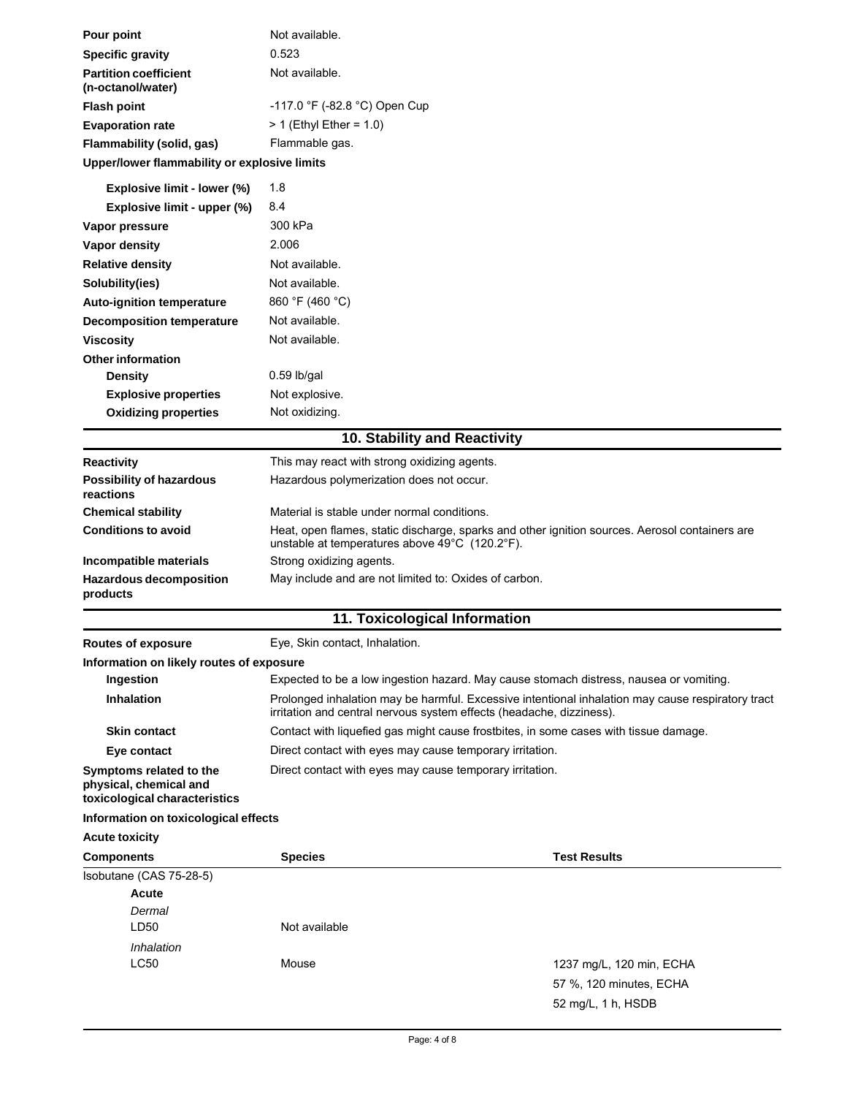| Pour point                                                                         | Not available.                                                                                                                                                            |                          |  |
|------------------------------------------------------------------------------------|---------------------------------------------------------------------------------------------------------------------------------------------------------------------------|--------------------------|--|
| <b>Specific gravity</b>                                                            | 0.523                                                                                                                                                                     |                          |  |
| <b>Partition coefficient</b><br>(n-octanol/water)                                  | Not available.                                                                                                                                                            |                          |  |
| <b>Flash point</b>                                                                 | -117.0 °F (-82.8 °C) Open Cup                                                                                                                                             |                          |  |
| <b>Evaporation rate</b>                                                            | $> 1$ (Ethyl Ether = 1.0)                                                                                                                                                 |                          |  |
| Flammability (solid, gas)                                                          | Flammable gas.                                                                                                                                                            |                          |  |
| Upper/lower flammability or explosive limits                                       |                                                                                                                                                                           |                          |  |
| Explosive limit - lower (%)                                                        | 1.8                                                                                                                                                                       |                          |  |
| Explosive limit - upper (%)                                                        | 8.4                                                                                                                                                                       |                          |  |
| Vapor pressure                                                                     | 300 kPa                                                                                                                                                                   |                          |  |
| Vapor density                                                                      | 2.006                                                                                                                                                                     |                          |  |
| <b>Relative density</b>                                                            | Not available.                                                                                                                                                            |                          |  |
| Solubility(ies)                                                                    | Not available.                                                                                                                                                            |                          |  |
| Auto-ignition temperature                                                          | 860 °F (460 °C)                                                                                                                                                           |                          |  |
| <b>Decomposition temperature</b>                                                   | Not available.                                                                                                                                                            |                          |  |
| <b>Viscosity</b>                                                                   | Not available.                                                                                                                                                            |                          |  |
| <b>Other information</b>                                                           |                                                                                                                                                                           |                          |  |
| <b>Density</b>                                                                     | $0.59$ lb/gal                                                                                                                                                             |                          |  |
| <b>Explosive properties</b>                                                        | Not explosive.                                                                                                                                                            |                          |  |
| <b>Oxidizing properties</b>                                                        | Not oxidizing.                                                                                                                                                            |                          |  |
|                                                                                    | 10. Stability and Reactivity                                                                                                                                              |                          |  |
| <b>Reactivity</b>                                                                  | This may react with strong oxidizing agents.                                                                                                                              |                          |  |
| <b>Possibility of hazardous</b><br>reactions                                       | Hazardous polymerization does not occur.                                                                                                                                  |                          |  |
| <b>Chemical stability</b>                                                          | Material is stable under normal conditions.                                                                                                                               |                          |  |
| <b>Conditions to avoid</b>                                                         | Heat, open flames, static discharge, sparks and other ignition sources. Aerosol containers are<br>unstable at temperatures above 49°C (120.2°F).                          |                          |  |
| Incompatible materials                                                             | Strong oxidizing agents.                                                                                                                                                  |                          |  |
| Hazardous decomposition<br>products                                                | May include and are not limited to: Oxides of carbon.                                                                                                                     |                          |  |
|                                                                                    | 11. Toxicological Information                                                                                                                                             |                          |  |
| <b>Routes of exposure</b>                                                          | Eye, Skin contact, Inhalation.                                                                                                                                            |                          |  |
| Information on likely routes of exposure                                           |                                                                                                                                                                           |                          |  |
| Ingestion                                                                          | Expected to be a low ingestion hazard. May cause stomach distress, nausea or vomiting.                                                                                    |                          |  |
| <b>Inhalation</b>                                                                  | Prolonged inhalation may be harmful. Excessive intentional inhalation may cause respiratory tract<br>irritation and central nervous system effects (headache, dizziness). |                          |  |
| <b>Skin contact</b>                                                                | Contact with liquefied gas might cause frostbites, in some cases with tissue damage.                                                                                      |                          |  |
| Eye contact                                                                        | Direct contact with eyes may cause temporary irritation.                                                                                                                  |                          |  |
| Symptoms related to the<br>physical, chemical and<br>toxicological characteristics | Direct contact with eyes may cause temporary irritation.                                                                                                                  |                          |  |
| Information on toxicological effects                                               |                                                                                                                                                                           |                          |  |
| <b>Acute toxicity</b>                                                              |                                                                                                                                                                           |                          |  |
| <b>Components</b>                                                                  | <b>Species</b>                                                                                                                                                            | <b>Test Results</b>      |  |
| Isobutane (CAS 75-28-5)                                                            |                                                                                                                                                                           |                          |  |
| <b>Acute</b>                                                                       |                                                                                                                                                                           |                          |  |
| Dermal                                                                             |                                                                                                                                                                           |                          |  |
| LD50                                                                               | Not available                                                                                                                                                             |                          |  |
| Inhalation                                                                         |                                                                                                                                                                           |                          |  |
| <b>LC50</b>                                                                        | Mouse                                                                                                                                                                     | 1237 mg/L, 120 min, ECHA |  |
|                                                                                    |                                                                                                                                                                           | 57 %, 120 minutes, ECHA  |  |
|                                                                                    |                                                                                                                                                                           | 52 mg/L, 1 h, HSDB       |  |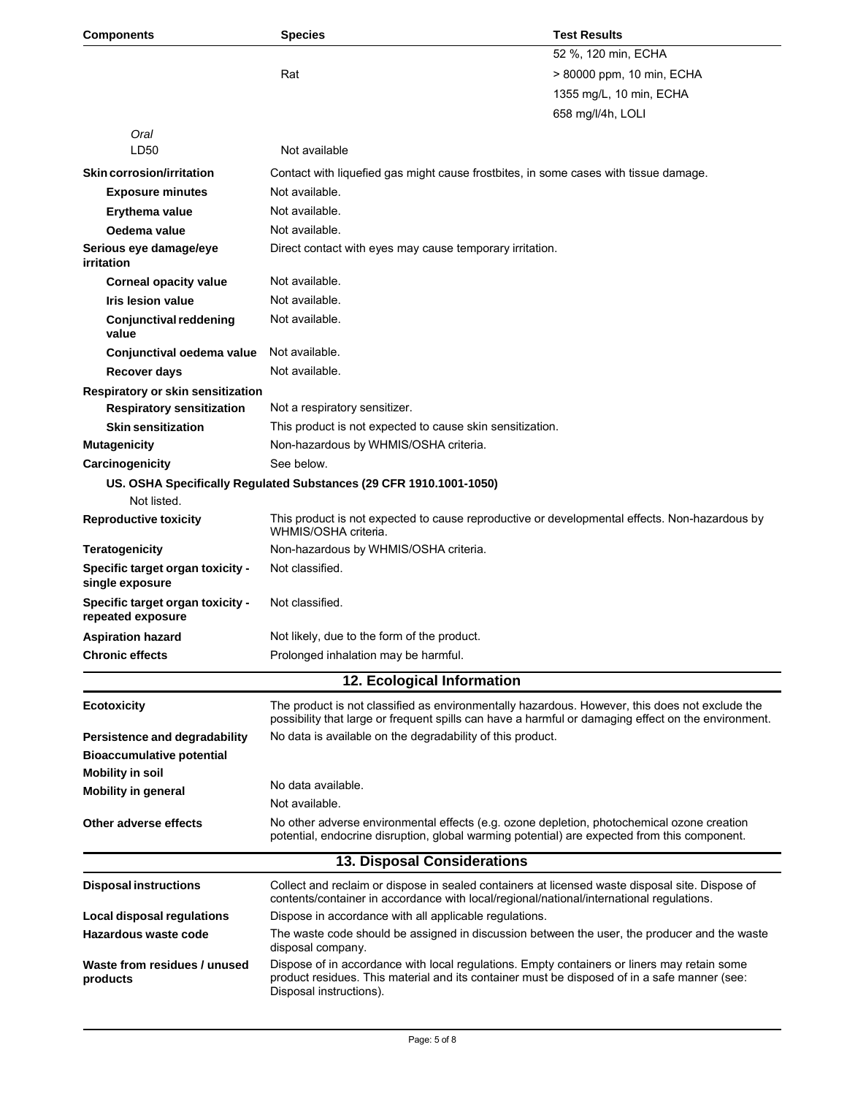| <b>Components</b>                                     | <b>Species</b>                                                                                                                                                                                                         | <b>Test Results</b>       |
|-------------------------------------------------------|------------------------------------------------------------------------------------------------------------------------------------------------------------------------------------------------------------------------|---------------------------|
|                                                       |                                                                                                                                                                                                                        | 52 %, 120 min, ECHA       |
|                                                       | Rat                                                                                                                                                                                                                    | > 80000 ppm, 10 min, ECHA |
|                                                       |                                                                                                                                                                                                                        | 1355 mg/L, 10 min, ECHA   |
|                                                       |                                                                                                                                                                                                                        | 658 mg/l/4h, LOLI         |
| Oral                                                  |                                                                                                                                                                                                                        |                           |
| LD50                                                  | Not available                                                                                                                                                                                                          |                           |
| Skin corrosion/irritation                             | Contact with liquefied gas might cause frostbites, in some cases with tissue damage.                                                                                                                                   |                           |
| <b>Exposure minutes</b>                               | Not available.                                                                                                                                                                                                         |                           |
| Erythema value                                        | Not available.                                                                                                                                                                                                         |                           |
| Oedema value                                          | Not available.                                                                                                                                                                                                         |                           |
| Serious eye damage/eye<br>irritation                  | Direct contact with eyes may cause temporary irritation.                                                                                                                                                               |                           |
| <b>Corneal opacity value</b>                          | Not available.                                                                                                                                                                                                         |                           |
| <b>Iris lesion value</b>                              | Not available.                                                                                                                                                                                                         |                           |
| <b>Conjunctival reddening</b><br>value                | Not available.                                                                                                                                                                                                         |                           |
| Conjunctival oedema value                             | Not available.                                                                                                                                                                                                         |                           |
| <b>Recover days</b>                                   | Not available.                                                                                                                                                                                                         |                           |
| Respiratory or skin sensitization                     |                                                                                                                                                                                                                        |                           |
| <b>Respiratory sensitization</b>                      | Not a respiratory sensitizer.                                                                                                                                                                                          |                           |
| <b>Skin sensitization</b>                             | This product is not expected to cause skin sensitization.                                                                                                                                                              |                           |
| <b>Mutagenicity</b>                                   | Non-hazardous by WHMIS/OSHA criteria.                                                                                                                                                                                  |                           |
| Carcinogenicity                                       | See below.                                                                                                                                                                                                             |                           |
| Not listed.                                           | US. OSHA Specifically Regulated Substances (29 CFR 1910.1001-1050)                                                                                                                                                     |                           |
| <b>Reproductive toxicity</b>                          | This product is not expected to cause reproductive or developmental effects. Non-hazardous by<br>WHMIS/OSHA criteria.                                                                                                  |                           |
| <b>Teratogenicity</b>                                 | Non-hazardous by WHMIS/OSHA criteria.                                                                                                                                                                                  |                           |
| Specific target organ toxicity -<br>single exposure   | Not classified.                                                                                                                                                                                                        |                           |
| Specific target organ toxicity -<br>repeated exposure | Not classified.                                                                                                                                                                                                        |                           |
| <b>Aspiration hazard</b>                              | Not likely, due to the form of the product.                                                                                                                                                                            |                           |
| <b>Chronic effects</b>                                | Prolonged inhalation may be harmful.                                                                                                                                                                                   |                           |
|                                                       | 12. Ecological Information                                                                                                                                                                                             |                           |
| Ecotoxicity                                           | The product is not classified as environmentally hazardous. However, this does not exclude the<br>possibility that large or frequent spills can have a harmful or damaging effect on the environment.                  |                           |
| Persistence and degradability                         | No data is available on the degradability of this product.                                                                                                                                                             |                           |
| <b>Bioaccumulative potential</b>                      |                                                                                                                                                                                                                        |                           |
| <b>Mobility in soil</b>                               | No data available.                                                                                                                                                                                                     |                           |
| <b>Mobility in general</b>                            | Not available.                                                                                                                                                                                                         |                           |
| Other adverse effects                                 | No other adverse environmental effects (e.g. ozone depletion, photochemical ozone creation<br>potential, endocrine disruption, global warming potential) are expected from this component.                             |                           |
|                                                       | 13. Disposal Considerations                                                                                                                                                                                            |                           |
| <b>Disposal instructions</b>                          | Collect and reclaim or dispose in sealed containers at licensed waste disposal site. Dispose of<br>contents/container in accordance with local/regional/national/international regulations.                            |                           |
| Local disposal regulations                            | Dispose in accordance with all applicable regulations.                                                                                                                                                                 |                           |
| Hazardous waste code                                  | The waste code should be assigned in discussion between the user, the producer and the waste<br>disposal company.                                                                                                      |                           |
| Waste from residues / unused<br>products              | Dispose of in accordance with local regulations. Empty containers or liners may retain some<br>product residues. This material and its container must be disposed of in a safe manner (see:<br>Disposal instructions). |                           |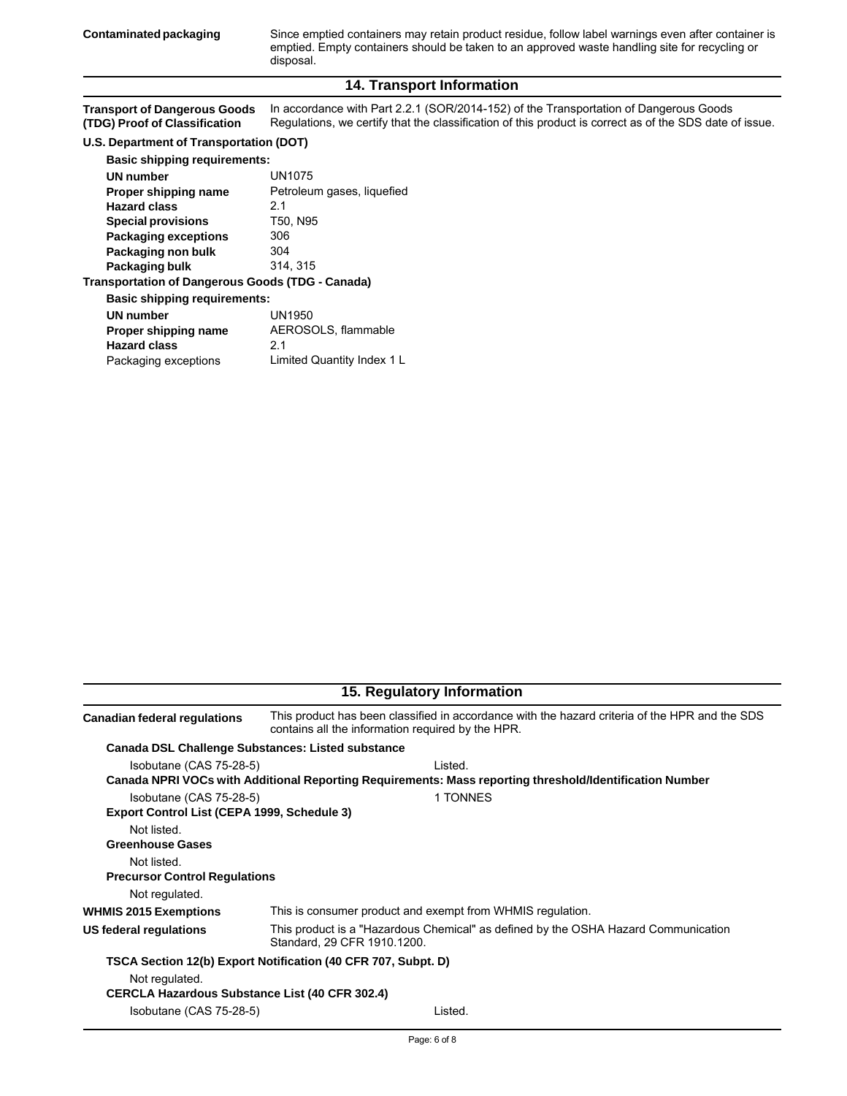**Contaminated packaging** Since emptied containers may retain product residue, follow label warnings even after container is emptied. Empty containers should be taken to an approved waste handling site for recycling or disposal.

#### **14. Transport Information**

|                               | Transport of Dangerous Goods In accordance with Part 2.2.1 (SOR/2014-152) of the Transportation of Dangerous Goods |
|-------------------------------|--------------------------------------------------------------------------------------------------------------------|
| (TDG) Proof of Classification | Regulations, we certify that the classification of this product is correct as of the SDS date of issue.            |

#### **U.S. Department of Transportation (DOT)**

| <b>Basic shipping requirements:</b>              |                            |
|--------------------------------------------------|----------------------------|
| <b>UN</b> number                                 | UN1075                     |
| Proper shipping name                             | Petroleum gases, liquefied |
| <b>Hazard class</b>                              | 2.1                        |
| <b>Special provisions</b>                        | T50, N95                   |
| <b>Packaging exceptions</b>                      | 306                        |
| Packaging non bulk                               | 304                        |
| Packaging bulk                                   | 314, 315                   |
| Transportation of Dangerous Goods (TDG - Canada) |                            |
| <b>Basic shipping requirements:</b>              |                            |
| <b>UN number</b>                                 | UN1950                     |
| Proper shipping name                             | AEROSOLS, flammable        |
| <b>Hazard class</b>                              | 2.1                        |
| Packaging exceptions                             | Limited Quantity Index 1 L |
|                                                  |                            |

| This product has been classified in accordance with the hazard criteria of the HPR and the SDS<br>contains all the information required by the HPR. |  |
|-----------------------------------------------------------------------------------------------------------------------------------------------------|--|
| <b>Canada DSL Challenge Substances: Listed substance</b>                                                                                            |  |
| I isted.                                                                                                                                            |  |
| Canada NPRI VOCs with Additional Reporting Requirements: Mass reporting threshold/Identification Number                                             |  |
| 1 TONNES                                                                                                                                            |  |
| Export Control List (CEPA 1999, Schedule 3)                                                                                                         |  |
|                                                                                                                                                     |  |
|                                                                                                                                                     |  |
|                                                                                                                                                     |  |
| <b>Precursor Control Regulations</b>                                                                                                                |  |
|                                                                                                                                                     |  |
| This is consumer product and exempt from WHMIS regulation.                                                                                          |  |
| This product is a "Hazardous Chemical" as defined by the OSHA Hazard Communication<br>Standard, 29 CFR 1910.1200                                    |  |
| TSCA Section 12(b) Export Notification (40 CFR 707, Subpt. D)                                                                                       |  |
|                                                                                                                                                     |  |
| <b>CERCLA Hazardous Substance List (40 CFR 302.4)</b>                                                                                               |  |
| Listed.                                                                                                                                             |  |
|                                                                                                                                                     |  |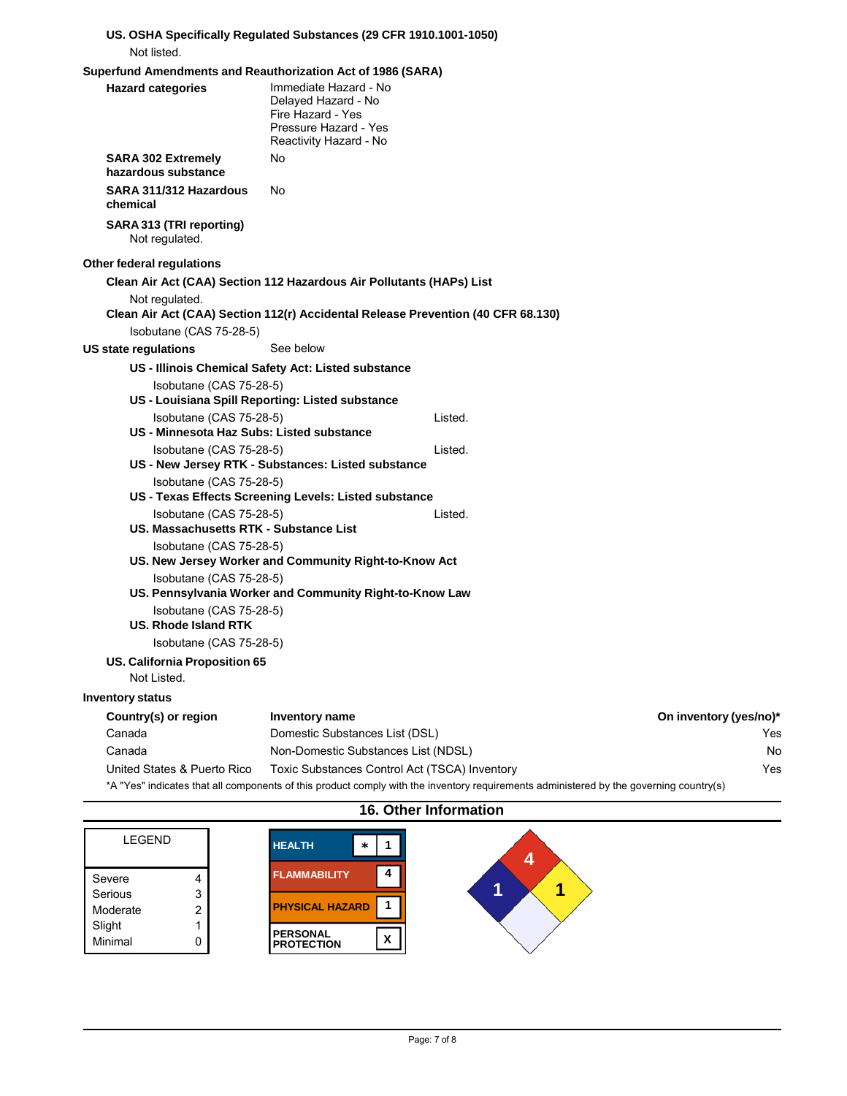| Not listed.                                      | US. OSHA Specifically Regulated Substances (29 CFR 1910.1001-1050)                                                                     |                        |
|--------------------------------------------------|----------------------------------------------------------------------------------------------------------------------------------------|------------------------|
|                                                  | Superfund Amendments and Reauthorization Act of 1986 (SARA)                                                                            |                        |
| <b>Hazard categories</b>                         | Immediate Hazard - No<br>Delayed Hazard - No<br>Fire Hazard - Yes<br>Pressure Hazard - Yes<br>Reactivity Hazard - No                   |                        |
| <b>SARA 302 Extremely</b><br>hazardous substance | No.                                                                                                                                    |                        |
| SARA 311/312 Hazardous<br>chemical               | No.                                                                                                                                    |                        |
| SARA 313 (TRI reporting)<br>Not regulated.       |                                                                                                                                        |                        |
| Other federal regulations                        |                                                                                                                                        |                        |
|                                                  | Clean Air Act (CAA) Section 112 Hazardous Air Pollutants (HAPs) List                                                                   |                        |
| Not regulated.                                   | Clean Air Act (CAA) Section 112(r) Accidental Release Prevention (40 CFR 68.130)                                                       |                        |
| Isobutane (CAS 75-28-5)                          |                                                                                                                                        |                        |
| <b>US state regulations</b>                      | See below                                                                                                                              |                        |
|                                                  | US - Illinois Chemical Safety Act: Listed substance                                                                                    |                        |
| Isobutane (CAS 75-28-5)                          |                                                                                                                                        |                        |
|                                                  | US - Louisiana Spill Reporting: Listed substance                                                                                       |                        |
| Isobutane (CAS 75-28-5)                          | Listed.                                                                                                                                |                        |
| US - Minnesota Haz Subs: Listed substance        |                                                                                                                                        |                        |
| Isobutane (CAS 75-28-5)                          | Listed.                                                                                                                                |                        |
|                                                  | US - New Jersey RTK - Substances: Listed substance                                                                                     |                        |
| Isobutane (CAS 75-28-5)                          |                                                                                                                                        |                        |
|                                                  | US - Texas Effects Screening Levels: Listed substance                                                                                  |                        |
| Isobutane (CAS 75-28-5)                          | Listed.                                                                                                                                |                        |
| US. Massachusetts RTK - Substance List           |                                                                                                                                        |                        |
| Isobutane (CAS 75-28-5)                          |                                                                                                                                        |                        |
|                                                  | US. New Jersey Worker and Community Right-to-Know Act                                                                                  |                        |
| Isobutane (CAS 75-28-5)                          | US. Pennsylvania Worker and Community Right-to-Know Law                                                                                |                        |
| Isobutane (CAS 75-28-5)<br>US. Rhode Island RTK  |                                                                                                                                        |                        |
| Isobutane (CAS 75-28-5)                          |                                                                                                                                        |                        |
| US. California Proposition 65<br>Not Listed.     |                                                                                                                                        |                        |
| <b>Inventory status</b>                          |                                                                                                                                        |                        |
| Country(s) or region                             | Inventory name                                                                                                                         | On inventory (yes/no)* |
| Canada                                           | Domestic Substances List (DSL)                                                                                                         | Yes                    |
| Canada                                           | Non-Domestic Substances List (NDSL)                                                                                                    | No                     |
| United States & Puerto Rico                      | Toxic Substances Control Act (TSCA) Inventory                                                                                          | Yes                    |
|                                                  | *A "Yes" indicates that all components of this product comply with the inventory requirements administered by the governing country(s) |                        |

## **16. Other Information**